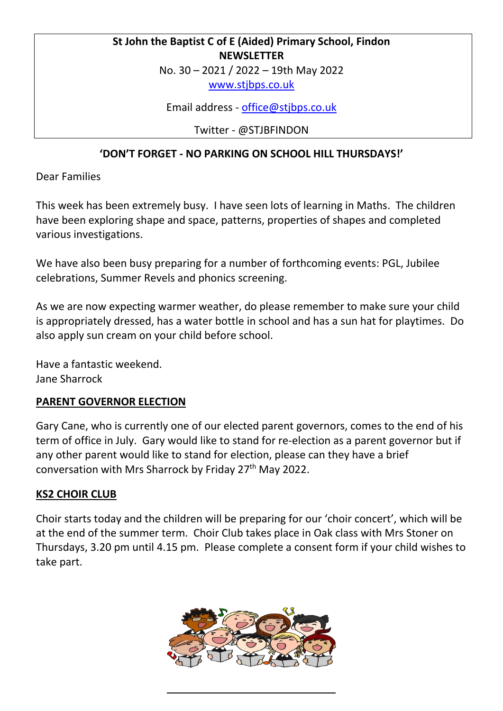## **St John the Baptist C of E (Aided) Primary School, Findon NEWSLETTER**

No. 30 – 2021 / 2022 – 19th May 2022

[www.stjbps.co.uk](http://www.stjbps.co.uk/)

Email address - [office@stjbps.co.uk](mailto:office@stjbps.co.uk)

Twitter - @STJBFINDON

## **'DON'T FORGET - NO PARKING ON SCHOOL HILL THURSDAYS!'**

Dear Families

This week has been extremely busy. I have seen lots of learning in Maths. The children have been exploring shape and space, patterns, properties of shapes and completed various investigations.

We have also been busy preparing for a number of forthcoming events: PGL, Jubilee celebrations, Summer Revels and phonics screening.

As we are now expecting warmer weather, do please remember to make sure your child is appropriately dressed, has a water bottle in school and has a sun hat for playtimes. Do also apply sun cream on your child before school.

Have a fantastic weekend. Jane Sharrock

## **PARENT GOVERNOR ELECTION**

Gary Cane, who is currently one of our elected parent governors, comes to the end of his term of office in July. Gary would like to stand for re-election as a parent governor but if any other parent would like to stand for election, please can they have a brief conversation with Mrs Sharrock by Friday 27<sup>th</sup> May 2022.

## **KS2 CHOIR CLUB**

Choir starts today and the children will be preparing for our 'choir concert', which will be at the end of the summer term. Choir Club takes place in Oak class with Mrs Stoner on Thursdays, 3.20 pm until 4.15 pm. Please complete a consent form if your child wishes to take part.